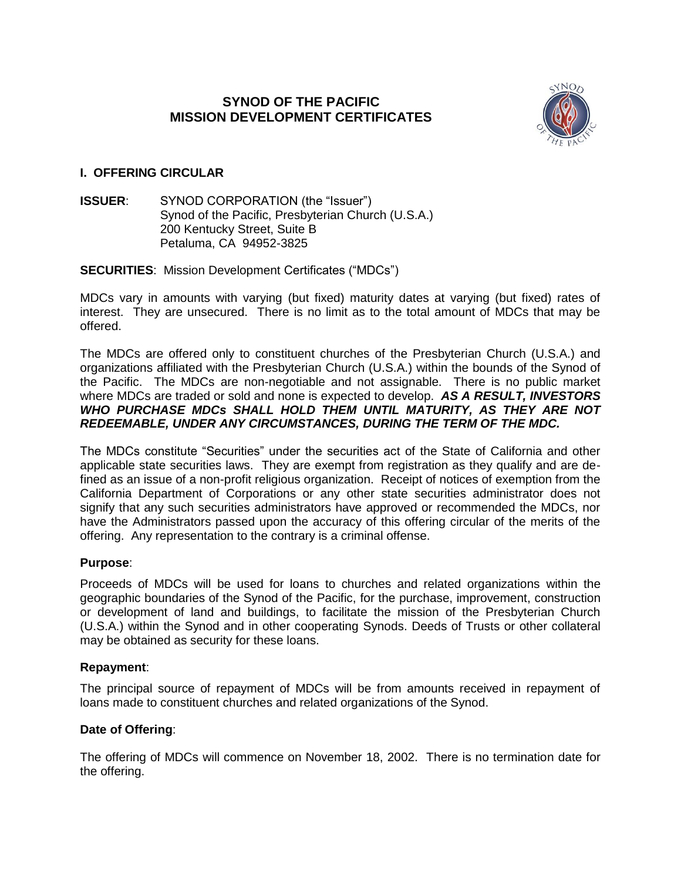# **SYNOD OF THE PACIFIC MISSION DEVELOPMENT CERTIFICATES**



# **I. OFFERING CIRCULAR**

**ISSUER:** SYNOD CORPORATION (the "Issuer") Synod of the Pacific, Presbyterian Church (U.S.A.) 200 Kentucky Street, Suite B Petaluma, CA 94952-3825

### **SECURITIES**: Mission Development Certificates ("MDCs")

MDCs vary in amounts with varying (but fixed) maturity dates at varying (but fixed) rates of interest. They are unsecured. There is no limit as to the total amount of MDCs that may be offered.

The MDCs are offered only to constituent churches of the Presbyterian Church (U.S.A.) and organizations affiliated with the Presbyterian Church (U.S.A.) within the bounds of the Synod of the Pacific. The MDCs are non-negotiable and not assignable. There is no public market where MDCs are traded or sold and none is expected to develop. *AS A RESULT, INVESTORS WHO PURCHASE MDCs SHALL HOLD THEM UNTIL MATURITY, AS THEY ARE NOT REDEEMABLE, UNDER ANY CIRCUMSTANCES, DURING THE TERM OF THE MDC.* 

The MDCs constitute "Securities" under the securities act of the State of California and other applicable state securities laws. They are exempt from registration as they qualify and are defined as an issue of a non-profit religious organization. Receipt of notices of exemption from the California Department of Corporations or any other state securities administrator does not signify that any such securities administrators have approved or recommended the MDCs, nor have the Administrators passed upon the accuracy of this offering circular of the merits of the offering. Any representation to the contrary is a criminal offense.

### **Purpose**:

Proceeds of MDCs will be used for loans to churches and related organizations within the geographic boundaries of the Synod of the Pacific, for the purchase, improvement, construction or development of land and buildings, to facilitate the mission of the Presbyterian Church (U.S.A.) within the Synod and in other cooperating Synods. Deeds of Trusts or other collateral may be obtained as security for these loans.

### **Repayment**:

The principal source of repayment of MDCs will be from amounts received in repayment of loans made to constituent churches and related organizations of the Synod.

# **Date of Offering**:

The offering of MDCs will commence on November 18, 2002. There is no termination date for the offering.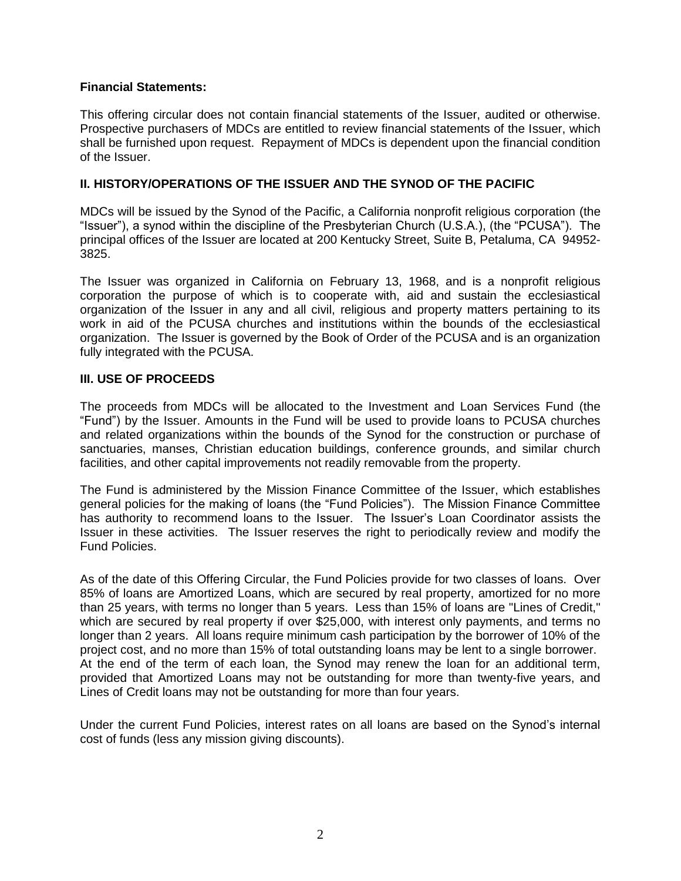### **Financial Statements:**

This offering circular does not contain financial statements of the Issuer, audited or otherwise. Prospective purchasers of MDCs are entitled to review financial statements of the Issuer, which shall be furnished upon request. Repayment of MDCs is dependent upon the financial condition of the Issuer.

### **II. HISTORY/OPERATIONS OF THE ISSUER AND THE SYNOD OF THE PACIFIC**

MDCs will be issued by the Synod of the Pacific, a California nonprofit religious corporation (the "Issuer"), a synod within the discipline of the Presbyterian Church (U.S.A.), (the "PCUSA"). The principal offices of the Issuer are located at 200 Kentucky Street, Suite B, Petaluma, CA 94952- 3825.

The Issuer was organized in California on February 13, 1968, and is a nonprofit religious corporation the purpose of which is to cooperate with, aid and sustain the ecclesiastical organization of the Issuer in any and all civil, religious and property matters pertaining to its work in aid of the PCUSA churches and institutions within the bounds of the ecclesiastical organization. The Issuer is governed by the Book of Order of the PCUSA and is an organization fully integrated with the PCUSA.

## **III. USE OF PROCEEDS**

The proceeds from MDCs will be allocated to the Investment and Loan Services Fund (the "Fund") by the Issuer. Amounts in the Fund will be used to provide loans to PCUSA churches and related organizations within the bounds of the Synod for the construction or purchase of sanctuaries, manses, Christian education buildings, conference grounds, and similar church facilities, and other capital improvements not readily removable from the property.

The Fund is administered by the Mission Finance Committee of the Issuer, which establishes general policies for the making of loans (the "Fund Policies"). The Mission Finance Committee has authority to recommend loans to the Issuer. The Issuer's Loan Coordinator assists the Issuer in these activities. The Issuer reserves the right to periodically review and modify the Fund Policies.

As of the date of this Offering Circular, the Fund Policies provide for two classes of loans. Over 85% of loans are Amortized Loans, which are secured by real property, amortized for no more than 25 years, with terms no longer than 5 years. Less than 15% of loans are "Lines of Credit," which are secured by real property if over \$25,000, with interest only payments, and terms no longer than 2 years. All loans require minimum cash participation by the borrower of 10% of the project cost, and no more than 15% of total outstanding loans may be lent to a single borrower. At the end of the term of each loan, the Synod may renew the loan for an additional term, provided that Amortized Loans may not be outstanding for more than twenty-five years, and Lines of Credit loans may not be outstanding for more than four years.

Under the current Fund Policies, interest rates on all loans are based on the Synod's internal cost of funds (less any mission giving discounts).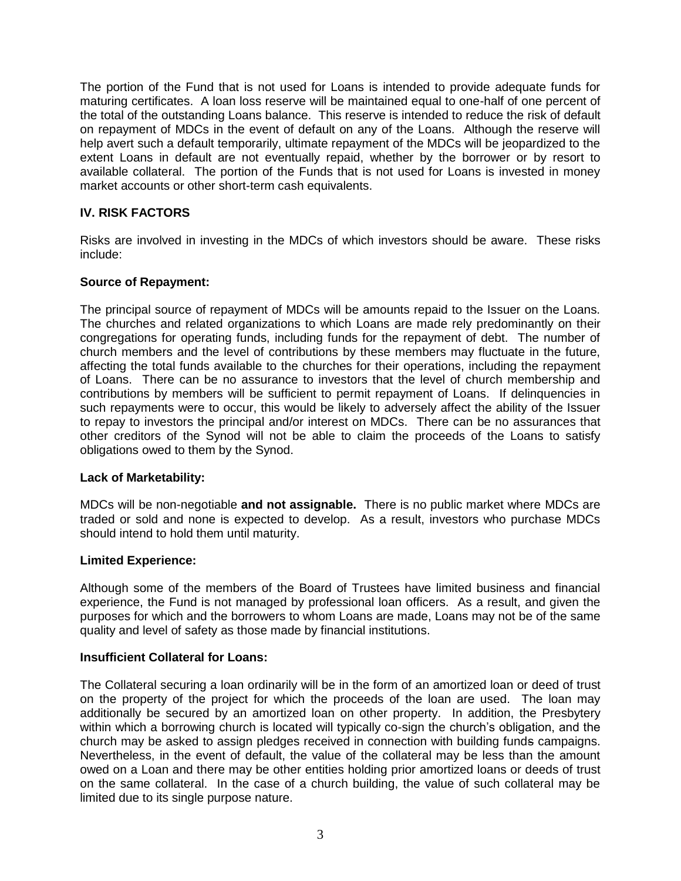The portion of the Fund that is not used for Loans is intended to provide adequate funds for maturing certificates. A loan loss reserve will be maintained equal to one-half of one percent of the total of the outstanding Loans balance. This reserve is intended to reduce the risk of default on repayment of MDCs in the event of default on any of the Loans. Although the reserve will help avert such a default temporarily, ultimate repayment of the MDCs will be jeopardized to the extent Loans in default are not eventually repaid, whether by the borrower or by resort to available collateral. The portion of the Funds that is not used for Loans is invested in money market accounts or other short-term cash equivalents.

# **IV. RISK FACTORS**

Risks are involved in investing in the MDCs of which investors should be aware. These risks include:

### **Source of Repayment:**

The principal source of repayment of MDCs will be amounts repaid to the Issuer on the Loans. The churches and related organizations to which Loans are made rely predominantly on their congregations for operating funds, including funds for the repayment of debt. The number of church members and the level of contributions by these members may fluctuate in the future, affecting the total funds available to the churches for their operations, including the repayment of Loans. There can be no assurance to investors that the level of church membership and contributions by members will be sufficient to permit repayment of Loans. If delinquencies in such repayments were to occur, this would be likely to adversely affect the ability of the Issuer to repay to investors the principal and/or interest on MDCs. There can be no assurances that other creditors of the Synod will not be able to claim the proceeds of the Loans to satisfy obligations owed to them by the Synod.

### **Lack of Marketability:**

MDCs will be non-negotiable **and not assignable.** There is no public market where MDCs are traded or sold and none is expected to develop. As a result, investors who purchase MDCs should intend to hold them until maturity.

#### **Limited Experience:**

Although some of the members of the Board of Trustees have limited business and financial experience, the Fund is not managed by professional loan officers. As a result, and given the purposes for which and the borrowers to whom Loans are made, Loans may not be of the same quality and level of safety as those made by financial institutions.

#### **Insufficient Collateral for Loans:**

The Collateral securing a loan ordinarily will be in the form of an amortized loan or deed of trust on the property of the project for which the proceeds of the loan are used. The loan may additionally be secured by an amortized loan on other property. In addition, the Presbytery within which a borrowing church is located will typically co-sign the church's obligation, and the church may be asked to assign pledges received in connection with building funds campaigns. Nevertheless, in the event of default, the value of the collateral may be less than the amount owed on a Loan and there may be other entities holding prior amortized loans or deeds of trust on the same collateral. In the case of a church building, the value of such collateral may be limited due to its single purpose nature.